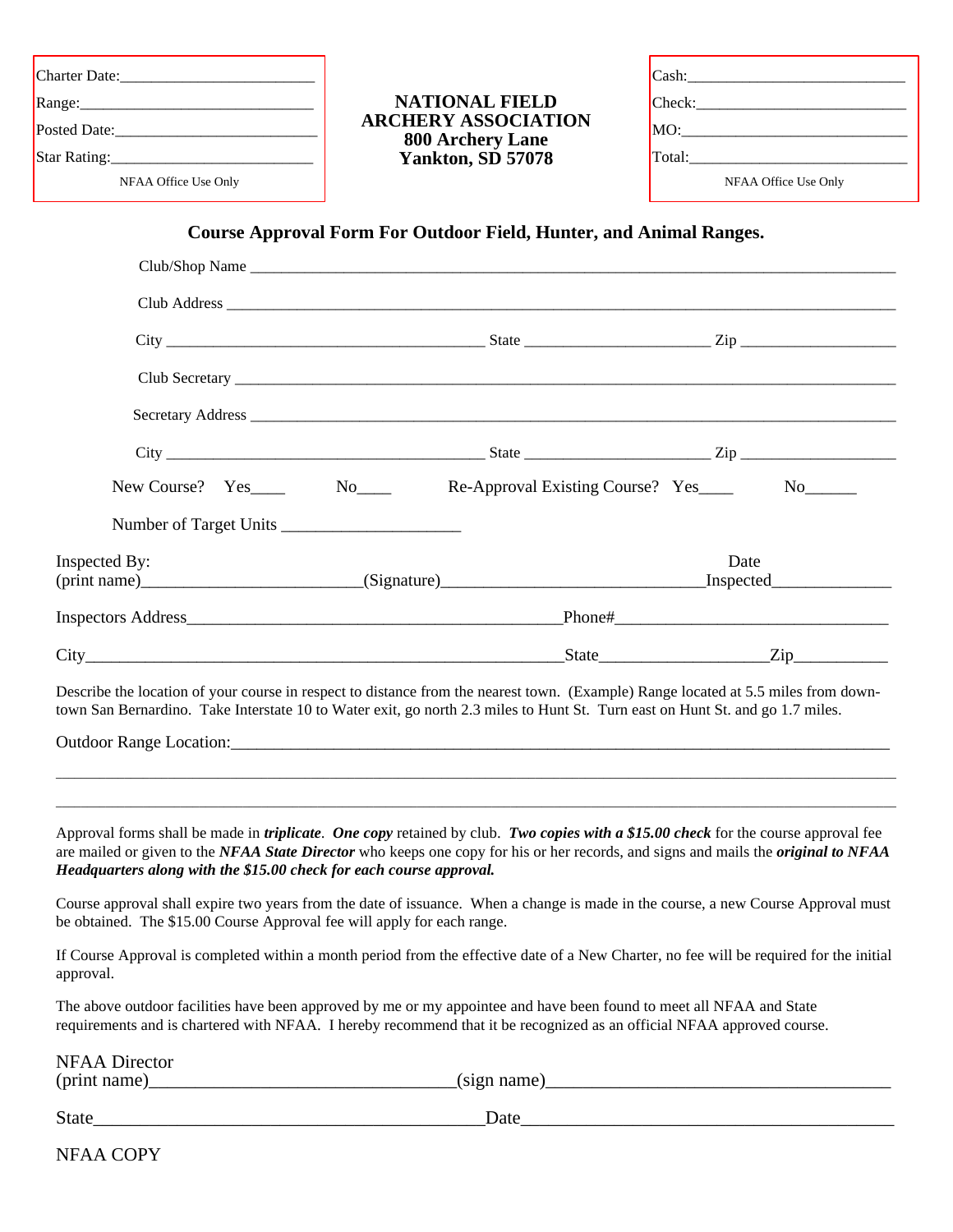|                      | <b>NATIONAL FIELD</b>                                        |                      |  |  |
|----------------------|--------------------------------------------------------------|----------------------|--|--|
|                      | <b>ARCHERY ASSOCIATION</b><br><b>800 Archery Lane</b>        |                      |  |  |
|                      | Yankton, SD 57078                                            |                      |  |  |
| NFAA Office Use Only |                                                              | NFAA Office Use Only |  |  |
|                      | $City$ $Zip$ $Zip$ $Zip$                                     |                      |  |  |
|                      |                                                              |                      |  |  |
|                      |                                                              |                      |  |  |
|                      | New Course? Yes No No Re-Approval Existing Course? Yes No No |                      |  |  |
| Inspected By:        |                                                              | Date                 |  |  |
|                      |                                                              |                      |  |  |
|                      |                                                              |                      |  |  |
|                      |                                                              |                      |  |  |

Describe the location of your course in respect to distance from the nearest town. (Example) Range located at 5.5 miles from downtown San Bernardino. Take Interstate 10 to Water exit, go north 2.3 miles to Hunt St. Turn east on Hunt St. and go 1.7 miles.

Outdoor Range Location:

Approval forms shall be made in *triplicate*. *One copy* retained by club. *Two copies with a \$15.00 check* for the course approval fee are mailed or given to the *NFAA State Director* who keeps one copy for his or her records, and signs and mails the *original to NFAA Headquarters along with the \$15.00 check for each course approval.*

 $\_$  , and the set of the set of the set of the set of the set of the set of the set of the set of the set of the set of the set of the set of the set of the set of the set of the set of the set of the set of the set of th  $\_$  , and the set of the set of the set of the set of the set of the set of the set of the set of the set of the set of the set of the set of the set of the set of the set of the set of the set of the set of the set of th

Course approval shall expire two years from the date of issuance. When a change is made in the course, a new Course Approval must be obtained. The \$15.00 Course Approval fee will apply for each range.

If Course Approval is completed within a month period from the effective date of a New Charter, no fee will be required for the initial approval.

The above outdoor facilities have been approved by me or my appointee and have been found to meet all NFAA and State requirements and is chartered with NFAA. I hereby recommend that it be recognized as an official NFAA approved course.

| <b>NFAA Director</b> |                          |
|----------------------|--------------------------|
| (print name)         | (s <sub>1</sub> gn name) |
|                      |                          |

State\_\_\_\_\_\_\_\_\_\_\_\_\_\_\_\_\_\_\_\_\_\_\_\_\_\_\_\_\_\_\_\_\_\_\_\_\_\_\_\_\_\_Date\_\_\_\_\_\_\_\_\_\_\_\_\_\_\_\_\_\_\_\_\_\_\_\_\_\_\_\_\_\_\_\_\_\_\_\_\_\_\_\_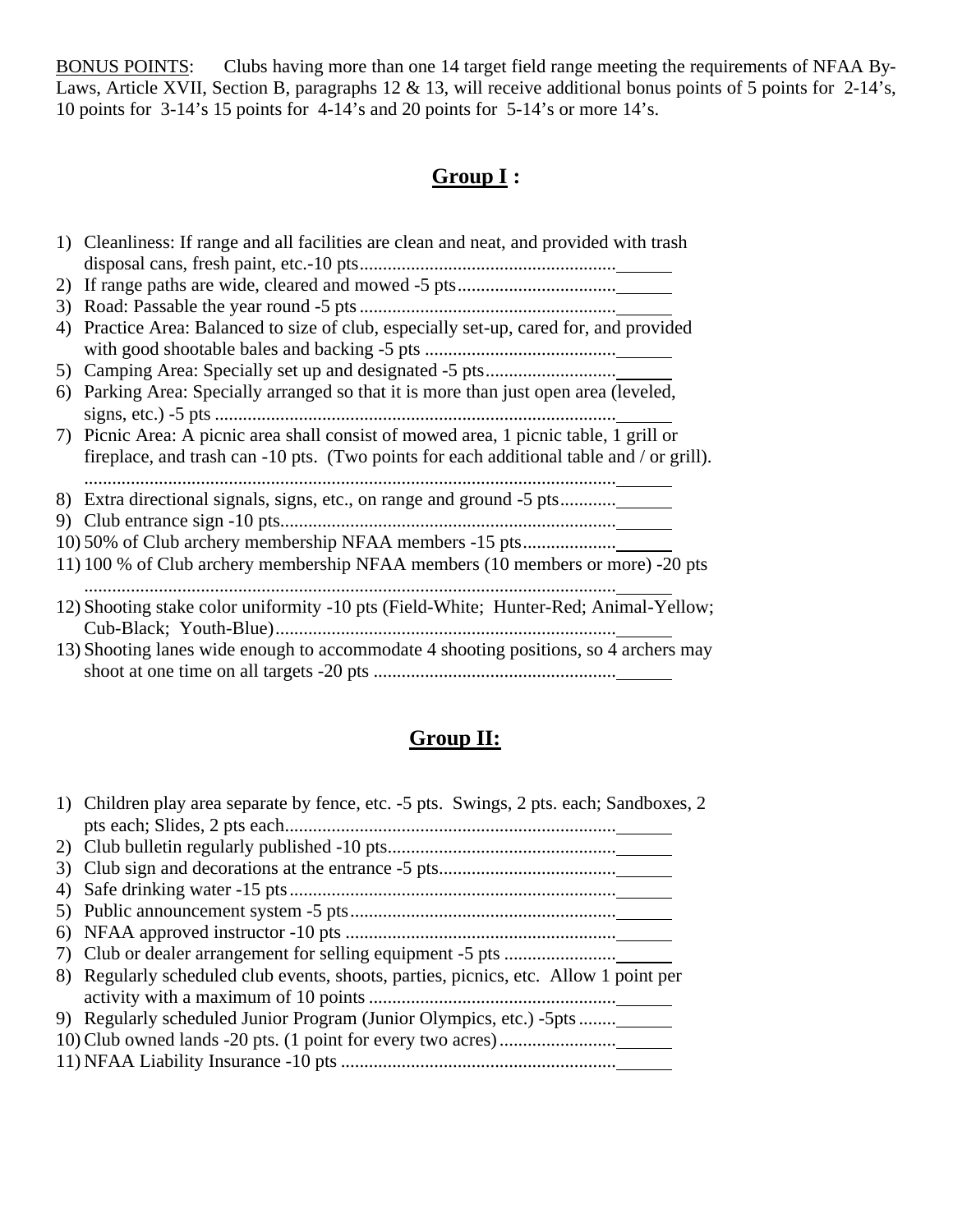BONUS POINTS: Clubs having more than one 14 target field range meeting the requirements of NFAA By-Laws, Article XVII, Section B, paragraphs 12 & 13, will receive additional bonus points of 5 points for 2-14's, 10 points for 3-14's 15 points for 4-14's and 20 points for 5-14's or more 14's.

# **Group I :**

|    | 1) Cleanliness: If range and all facilities are clean and neat, and provided with trash  |
|----|------------------------------------------------------------------------------------------|
|    |                                                                                          |
|    |                                                                                          |
|    |                                                                                          |
|    | 4) Practice Area: Balanced to size of club, especially set-up, cared for, and provided   |
|    |                                                                                          |
|    |                                                                                          |
| 6) | Parking Area: Specially arranged so that it is more than just open area (leveled,        |
|    | signs, etc.) $-5$ pts                                                                    |
|    | 7) Picnic Area: A picnic area shall consist of mowed area, 1 picnic table, 1 grill or    |
|    | fireplace, and trash can -10 pts. (Two points for each additional table and / or grill). |
|    |                                                                                          |
|    | 8) Extra directional signals, signs, etc., on range and ground -5 pts                    |
|    |                                                                                          |
|    |                                                                                          |
|    | 11) 100 % of Club archery membership NFAA members (10 members or more) -20 pts           |
|    |                                                                                          |
|    | 12) Shooting stake color uniformity -10 pts (Field-White; Hunter-Red; Animal-Yellow;     |
|    |                                                                                          |
|    | 13) Shooting lanes wide enough to accommodate 4 shooting positions, so 4 archers may     |
|    |                                                                                          |

# **Group II:**

| 1) Children play area separate by fence, etc. -5 pts. Swings, 2 pts. each; Sandboxes, 2 |
|-----------------------------------------------------------------------------------------|
|                                                                                         |
|                                                                                         |
|                                                                                         |
|                                                                                         |
|                                                                                         |
|                                                                                         |
|                                                                                         |
| 8) Regularly scheduled club events, shoots, parties, picnics, etc. Allow 1 point per    |
|                                                                                         |
| 9) Regularly scheduled Junior Program (Junior Olympics, etc.) -5pts _____               |
|                                                                                         |
|                                                                                         |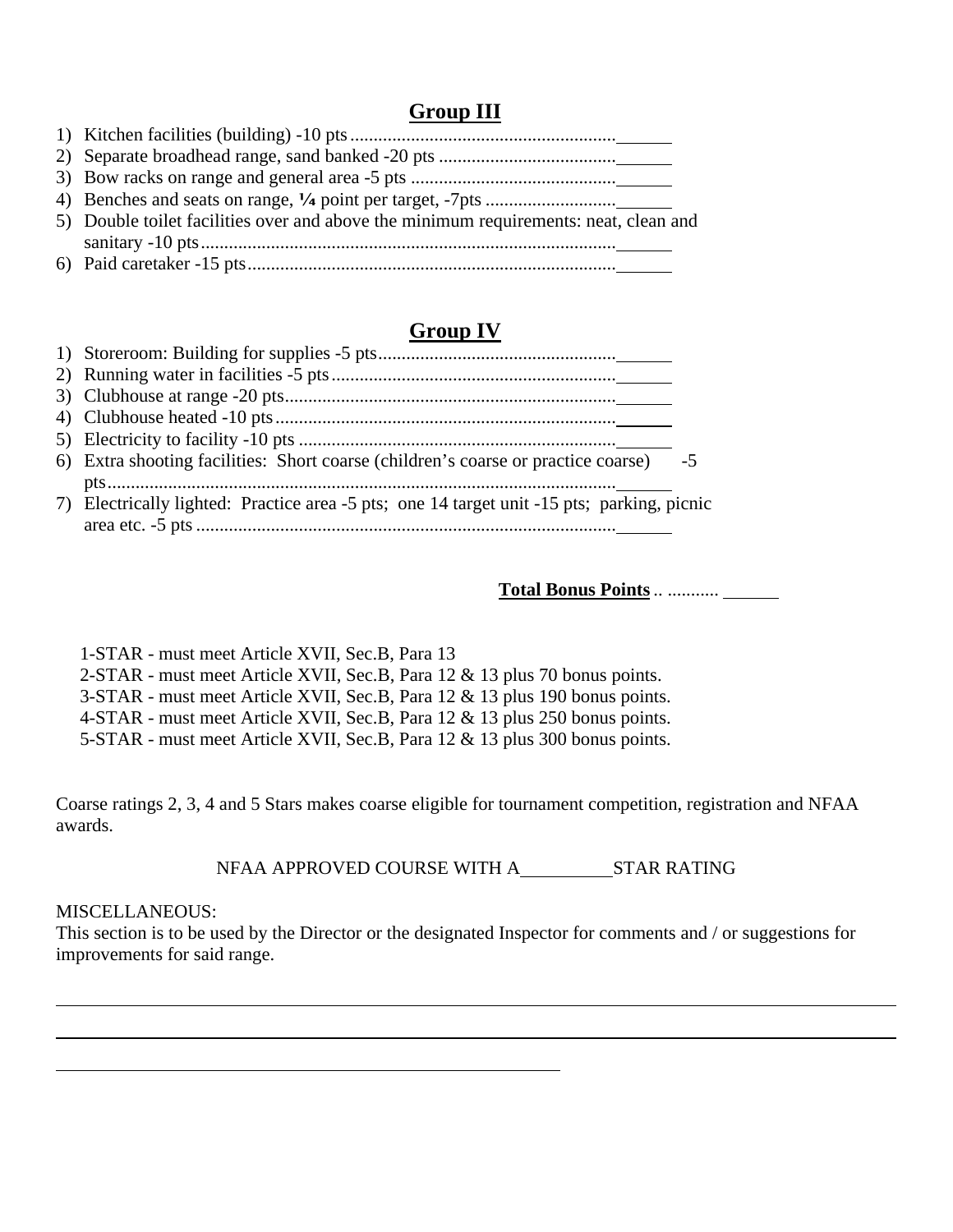## **Group III**

| 5) Double toilet facilities over and above the minimum requirements: neat, clean and |
|--------------------------------------------------------------------------------------|
|                                                                                      |
|                                                                                      |

# **Group IV**

| 6) Extra shooting facilities: Short coarse (children's coarse or practice coarse) -5       |
|--------------------------------------------------------------------------------------------|
|                                                                                            |
| 7) Electrically lighted: Practice area -5 pts; one 14 target unit -15 pts; parking, picnic |
|                                                                                            |

**Total Bonus Points**.. ...........

1-STAR - must meet Article XVII, Sec.B, Para 13

2-STAR - must meet Article XVII, Sec.B, Para 12 & 13 plus 70 bonus points.

3-STAR - must meet Article XVII, Sec.B, Para 12 & 13 plus 190 bonus points.

4-STAR - must meet Article XVII, Sec.B, Para 12 & 13 plus 250 bonus points.

5-STAR - must meet Article XVII, Sec.B, Para 12 & 13 plus 300 bonus points.

Coarse ratings 2, 3, 4 and 5 Stars makes coarse eligible for tournament competition, registration and NFAA awards.

NFAA APPROVED COURSE WITH A\_\_\_\_\_\_\_\_\_\_\_\_\_STAR RATING

#### MISCELLANEOUS:

This section is to be used by the Director or the designated Inspector for comments and / or suggestions for improvements for said range.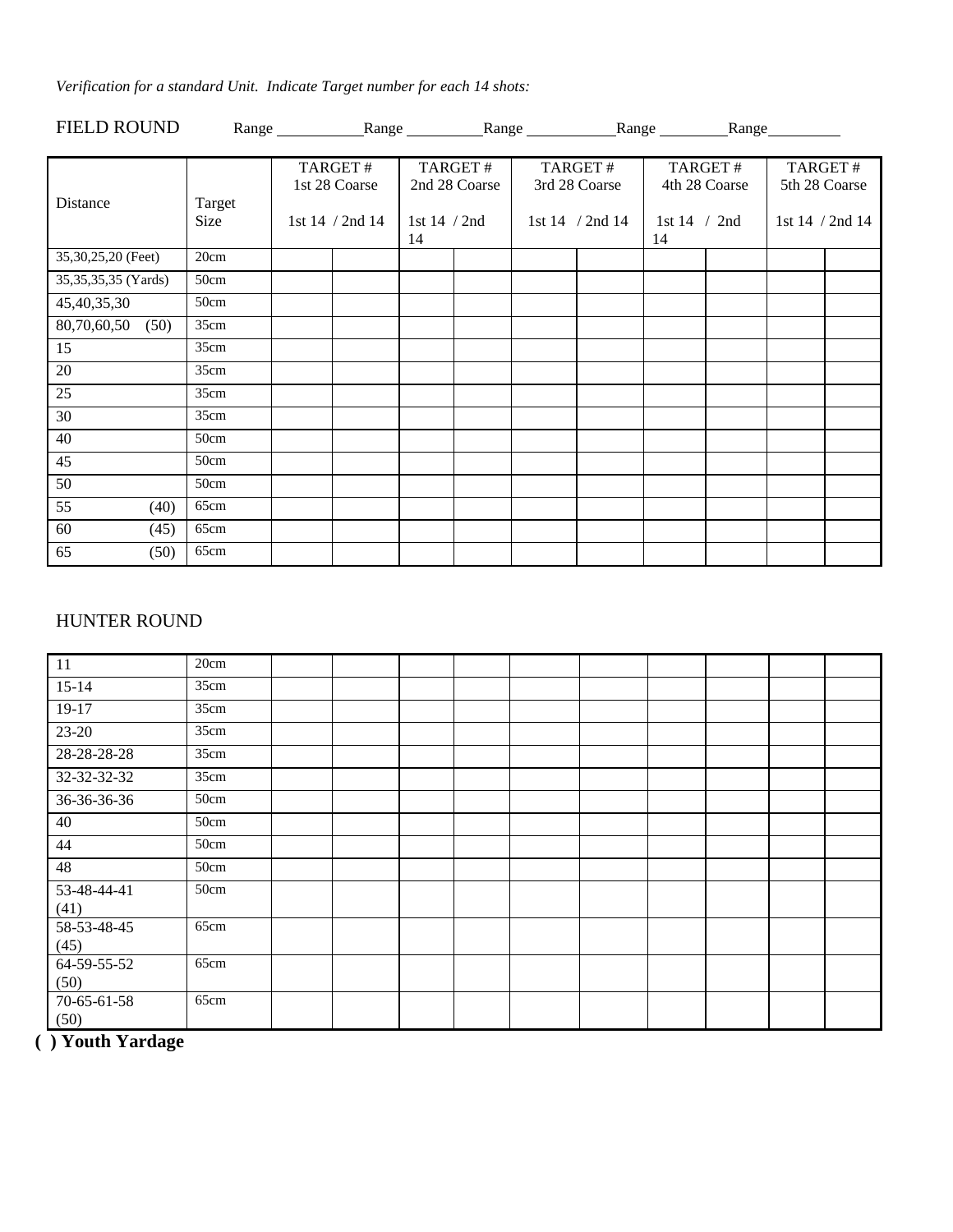*Verification for a standard Unit. Indicate Target number for each 14 shots:*

| <b>FIELD ROUND</b>  |        | Range Range Range Range Range Range Range Range Range Range Range Range Range Range Range Range Range Range Range Range Range Range Range Range Range Range Range Range Range Range Range Range Range Range Range Range Range |                    |               |                      |                      |               |                 |
|---------------------|--------|-------------------------------------------------------------------------------------------------------------------------------------------------------------------------------------------------------------------------------|--------------------|---------------|----------------------|----------------------|---------------|-----------------|
|                     |        |                                                                                                                                                                                                                               |                    |               |                      |                      |               |                 |
|                     |        | TARGET#                                                                                                                                                                                                                       |                    | TARGET#       | TARGET#              |                      | TARGET#       | TARGET#         |
|                     |        | 1st 28 Coarse                                                                                                                                                                                                                 |                    | 2nd 28 Coarse | 3rd 28 Coarse        |                      | 4th 28 Coarse | 5th 28 Coarse   |
| Distance            | Target |                                                                                                                                                                                                                               |                    |               |                      |                      |               |                 |
|                     | Size   | 1st $14 / 2nd 14$                                                                                                                                                                                                             | 1st 14 / 2nd<br>14 |               | 1st $14 / 2$ nd $14$ | 1st $14 / 2nd$<br>14 |               | 1st 14 / 2nd 14 |
| 35,30,25,20 (Feet)  | 20cm   |                                                                                                                                                                                                                               |                    |               |                      |                      |               |                 |
| 35,35,35,35 (Yards) | 50cm   |                                                                                                                                                                                                                               |                    |               |                      |                      |               |                 |
| 45,40,35,30         | 50cm   |                                                                                                                                                                                                                               |                    |               |                      |                      |               |                 |
| 80,70,60,50<br>(50) | 35cm   |                                                                                                                                                                                                                               |                    |               |                      |                      |               |                 |
| 15                  | 35cm   |                                                                                                                                                                                                                               |                    |               |                      |                      |               |                 |
| 20                  | 35cm   |                                                                                                                                                                                                                               |                    |               |                      |                      |               |                 |
| 25                  | 35cm   |                                                                                                                                                                                                                               |                    |               |                      |                      |               |                 |
| 30                  | 35cm   |                                                                                                                                                                                                                               |                    |               |                      |                      |               |                 |
| 40                  | 50cm   |                                                                                                                                                                                                                               |                    |               |                      |                      |               |                 |
| 45                  | 50cm   |                                                                                                                                                                                                                               |                    |               |                      |                      |               |                 |
| 50                  | 50cm   |                                                                                                                                                                                                                               |                    |               |                      |                      |               |                 |
| 55<br>(40)          | 65cm   |                                                                                                                                                                                                                               |                    |               |                      |                      |               |                 |
| 60<br>(45)          | 65cm   |                                                                                                                                                                                                                               |                    |               |                      |                      |               |                 |
| 65<br>(50)          | 65cm   |                                                                                                                                                                                                                               |                    |               |                      |                      |               |                 |

## HUNTER ROUND

| 11                  | 20cm |  |  |  |  |  |
|---------------------|------|--|--|--|--|--|
| $15-14$             | 35cm |  |  |  |  |  |
| $19-17$             | 35cm |  |  |  |  |  |
| $23 - 20$           | 35cm |  |  |  |  |  |
| $28 - 28 - 28 - 28$ | 35cm |  |  |  |  |  |
| 32-32-32-32         | 35cm |  |  |  |  |  |
| 36-36-36-36         | 50cm |  |  |  |  |  |
| 40                  | 50cm |  |  |  |  |  |
| 44                  | 50cm |  |  |  |  |  |
| 48                  | 50cm |  |  |  |  |  |
| 53-48-44-41<br>(41) | 50cm |  |  |  |  |  |
| 58-53-48-45<br>(45) | 65cm |  |  |  |  |  |
| 64-59-55-52<br>(50) | 65cm |  |  |  |  |  |
| 70-65-61-58<br>(50) | 65cm |  |  |  |  |  |

**( ) Youth Yardage**